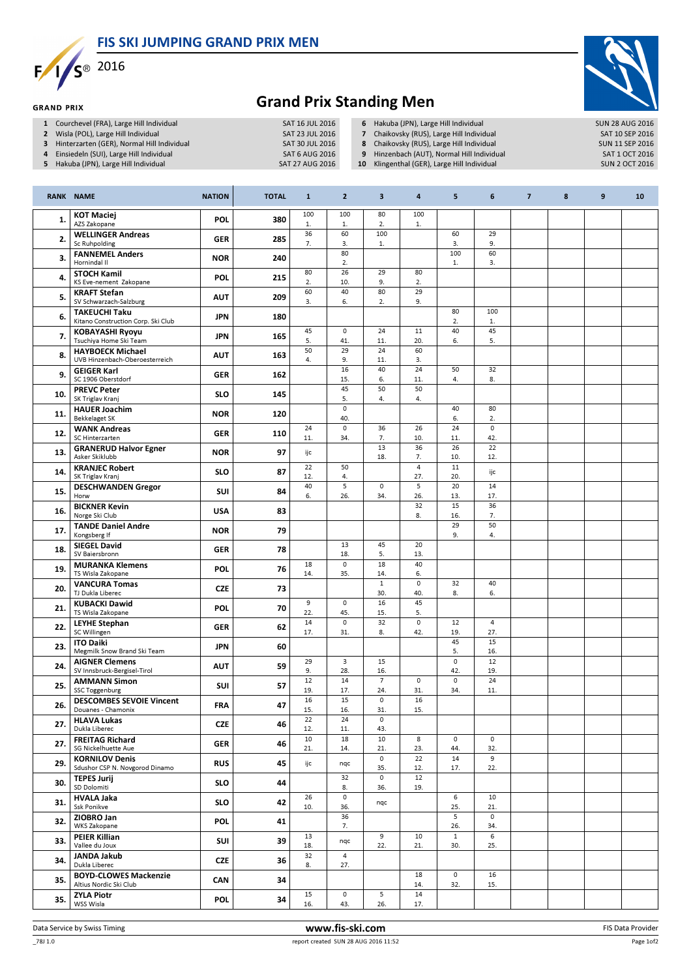FIS SKI JUMPING GRAND PRIX MEN



**GRAND PRIX** 



## Grand Prix Standing Men

- 
- 1 Courchevel (FRA), Large Hill Individual SAT 16 JUL 2016<br>2 Wisla (POL), Large Hill Individual SAT 23 JUL 2016 2 Wisla (POL), Large Hill Individual SAT 23 JUL 2016<br>3 Hinterzarten (GER), Normal Hill Individual SAT 30 JUL 2016
- 3 Hinterzarten (GER), Normal Hill Individual SAT 30 JUL 2016<br>4 Einsiedeln (SUI), Large Hill Individual SAT 6 AUG 2016
- 4 Einsiedeln (SUI), Large Hill Individual
- 5 Hakuba (JPN), Large Hill Individual SAT 27 AUG 2016
- 6 Hakuba (JPN), Large Hill Individual SUN 28 AUG 2016<br>
7 Chaikovsky (RUS), Large Hill Individual SAT 10 SEP 2016
- 7 Chaikovsky (RUS), Large Hill Individual SAT 10 SEP 2016<br>
8 Chaikovsky (RUS), Large Hill Individual SUN 11 SEP 2016
- 8 Chaikovsky (RUS), Large Hill Individual SUN 11 SEP 2016<br>19 Hinzenbach (AUT), Normal Hill Individual SAT 1 OCT 2016
- 9 Hinzenbach (AUT), Normal Hill Individual SAT 1 OCT 2016<br>10 Klingenthal (GER), Large Hill Individual SUN 2 OCT 2016
- 10 Klingenthal  $(GER)$ , Large Hill Individual

|     | <b>RANK NAME</b>                                           | <b>NATION</b> | <b>TOTAL</b> | $\mathbf{1}$  | $\overline{2}$             | 3                          | $\overline{\mathbf{a}}$ | 5                          | 6                  | $\overline{7}$ | 8 | $\boldsymbol{9}$ | 10 |
|-----|------------------------------------------------------------|---------------|--------------|---------------|----------------------------|----------------------------|-------------------------|----------------------------|--------------------|----------------|---|------------------|----|
| 1.  | <b>KOT Maciej</b><br>AZS Zakopane                          | <b>POL</b>    | 380          | 100<br>1.     | 100<br>1.                  | 80<br>2.                   | 100<br>$1.$             |                            |                    |                |   |                  |    |
| 2.  | <b>WELLINGER Andreas</b><br>Sc Ruhpolding                  | <b>GER</b>    | 285          | 36<br>7.      | 60<br>3.                   | 100<br>1.                  |                         | 60<br>3.                   | 29<br>9.           |                |   |                  |    |
| 3.  | <b>FANNEMEL Anders</b><br>Hornindal II                     | <b>NOR</b>    | 240          |               | 80<br>2.                   |                            |                         | 100<br>1.                  | 60<br>3.           |                |   |                  |    |
| 4.  | <b>STOCH Kamil</b><br>KS Eve-nement Zakopane               | POL           | 215          | 80<br>2.      | 26<br>10.                  | 29<br>9.                   | 80<br>2.                |                            |                    |                |   |                  |    |
| 5.  | <b>KRAFT Stefan</b><br>SV Schwarzach-Salzburg              | <b>AUT</b>    | 209          | 60<br>3.      | 40<br>6.                   | 80<br>2.                   | 29<br>9.                |                            |                    |                |   |                  |    |
| 6.  | <b>TAKEUCHI Taku</b><br>Kitano Construction Corp. Ski Club | <b>JPN</b>    | 180          |               |                            |                            |                         | 80<br>2.                   | 100<br>$1.$        |                |   |                  |    |
| 7.  | <b>KOBAYASHI Ryoyu</b><br>Tsuchiya Home Ski Team           | <b>JPN</b>    | 165          | 45<br>5.      | $\mathsf{O}\xspace$<br>41. | 24<br>11.                  | 11<br>20.               | 40<br>6.                   | 45<br>5.           |                |   |                  |    |
| 8.  | <b>HAYBOECK Michael</b><br>UVB Hinzenbach-Oberoesterreich  | <b>AUT</b>    | 163          | 50<br>4.      | 29<br>9.                   | 24<br>11.                  | 60<br>3.                |                            |                    |                |   |                  |    |
| 9.  | <b>GEIGER Karl</b><br>SC 1906 Oberstdorf                   | <b>GER</b>    | 162          |               | 16<br>15.                  | 40<br>6.                   | 24<br>11.               | 50<br>4.                   | 32<br>8.           |                |   |                  |    |
| 10. | <b>PREVC Peter</b><br>SK Triglav Kranj                     | <b>SLO</b>    | 145          |               | 45<br>5.                   | 50<br>4.                   | 50<br>4.                |                            |                    |                |   |                  |    |
| 11. | <b>HAUER Joachim</b><br><b>Bekkelaget SK</b>               | <b>NOR</b>    | 120          |               | 0<br>40.                   |                            |                         | 40<br>6.                   | 80<br>2.           |                |   |                  |    |
| 12. | <b>WANK Andreas</b><br>SC Hinterzarten                     | <b>GER</b>    | 110          | 24<br>11.     | 0<br>34.                   | 36<br>7.                   | 26<br>10.               | 24<br>11.                  | 0<br>42.           |                |   |                  |    |
| 13. | <b>GRANERUD Halvor Egner</b><br>Asker Skiklubb             | <b>NOR</b>    | 97           | ijc           |                            | 13<br>18.                  | 36<br>7.                | 26<br>10.                  | 22<br>12.          |                |   |                  |    |
| 14. | <b>KRANJEC Robert</b><br>SK Triglav Kranj                  | <b>SLO</b>    | 87           | 22<br>12.     | 50<br>4.                   |                            | $\overline{4}$<br>27.   | $\overline{11}$<br>20.     | ijc                |                |   |                  |    |
| 15. | <b>DESCHWANDEN Gregor</b><br>Horw                          | <b>SUI</b>    | 84           | 40<br>6.      | 5<br>26.                   | $\mathsf{O}$<br>34.        | 5<br>26.                | 20<br>13.                  | 14<br>17.          |                |   |                  |    |
| 16. | <b>BICKNER Kevin</b><br>Norge Ski Club                     | <b>USA</b>    | 83           |               |                            |                            | 32<br>8.                | 15<br>16.                  | 36<br>7.           |                |   |                  |    |
| 17. | <b>TANDE Daniel Andre</b><br>Kongsberg If                  | <b>NOR</b>    | 79           |               |                            |                            |                         | 29<br>9.                   | 50<br>4.           |                |   |                  |    |
| 18. | <b>SIEGEL David</b><br>SV Baiersbronn                      | <b>GER</b>    | 78           |               | 13<br>18.                  | 45<br>5.                   | 20<br>13.               |                            |                    |                |   |                  |    |
| 19. | <b>MURANKA Klemens</b><br>TS Wisla Zakopane                | POL           | 76           | 18<br>14.     | 0<br>35.                   | 18<br>14.                  | 40<br>6.                |                            |                    |                |   |                  |    |
| 20. | <b>VANCURA Tomas</b><br>TJ Dukla Liberec                   | <b>CZE</b>    | 73           |               |                            | $\mathbf{1}$<br>30.        | $\mathsf{o}$<br>40.     | 32<br>8.                   | 40<br>6.           |                |   |                  |    |
| 21. | <b>KUBACKI Dawid</b><br>TS Wisla Zakopane                  | <b>POL</b>    | 70           | 9<br>22.      | 0<br>45.                   | 16<br>15.                  | 45<br>5.                |                            |                    |                |   |                  |    |
| 22. | <b>LEYHE Stephan</b><br>SC Willingen                       | <b>GER</b>    | 62           | 14<br>17.     | $\mathsf 0$<br>31.         | 32<br>8.                   | $\mathsf{O}$<br>42.     | 12<br>19.                  | 4<br>27.           |                |   |                  |    |
| 23. | <b>ITO Daiki</b><br>Megmilk Snow Brand Ski Team            | <b>JPN</b>    | 60           |               |                            |                            |                         | 45<br>5.                   | 15<br>16.          |                |   |                  |    |
| 24. | <b>AIGNER Clemens</b><br>SV Innsbruck-Bergisel-Tirol       | <b>AUT</b>    | 59           | 29<br>9.      | 3<br>28.                   | 15<br>16.                  |                         | $\mathsf 0$<br>42.         | 12<br>19.          |                |   |                  |    |
| 25. | <b>AMMANN Simon</b><br><b>SSC Toggenburg</b>               | SUI           | 57           | 12<br>19.     | 14<br>17.                  | $\overline{7}$<br>24.      | $\mathsf{O}$<br>31.     | $\mathsf 0$<br>34.         | 24<br>11.          |                |   |                  |    |
| 26. | <b>DESCOMBES SEVOIE Vincent</b><br>Douanes - Chamonix      | <b>FRA</b>    | 47           | 16<br>15.     | 15<br>16.                  | $\circ$<br>31.             | 16<br>15.               |                            |                    |                |   |                  |    |
| 27. | <b>HLAVA Lukas</b><br>Dukla Liberec                        | <b>CZE</b>    | 46           | 22<br>12.     | 24<br>11.                  | 0<br>43.                   |                         |                            |                    |                |   |                  |    |
| 27. | <b>FREITAG Richard</b><br>SG Nickelhuette Aue              | GER           | 46           | $10\,$<br>21. | 18<br>14.                  | 10<br>21.                  | 8<br>23.                | $\mathbf 0$<br>44.         | $\mathbf 0$<br>32. |                |   |                  |    |
| 29. | <b>KORNILOV Denis</b><br>Sdushor CSP N. Novgorod Dinamo    | <b>RUS</b>    | 45           | ijc           | nqc                        | $\mathsf{O}\xspace$<br>35. | 22<br>12.               | 14<br>17.                  | 9<br>22.           |                |   |                  |    |
| 30. | <b>TEPES Jurij</b><br>SD Dolomiti                          | SLO           | 44           |               | 32<br>8.                   | $\mathsf{o}\,$<br>36.      | 12<br>19.               |                            |                    |                |   |                  |    |
| 31. | <b>HVALA Jaka</b><br>Ssk Ponikve                           | <b>SLO</b>    | 42           | 26<br>10.     | 0<br>36.                   | nqc                        |                         | 6<br>25.                   | 10<br>21.          |                |   |                  |    |
| 32. | ZIOBRO Jan<br><b>WKS Zakopane</b>                          | POL           | 41           |               | 36<br>7.                   |                            |                         | $\overline{5}$<br>26.      | 0<br>34.           |                |   |                  |    |
| 33. | <b>PEIER Killian</b><br>Vallee du Joux                     | SUI           | 39           | 13<br>18.     | nqc                        | 9<br>22.                   | 10<br>21.               | $\mathbf{1}$<br>30.        | 6<br>25.           |                |   |                  |    |
| 34. | <b>JANDA Jakub</b><br>Dukla Liberec                        | <b>CZE</b>    | 36           | 32<br>8.      | $\overline{4}$<br>27.      |                            |                         |                            |                    |                |   |                  |    |
| 35. | <b>BOYD-CLOWES Mackenzie</b><br>Altius Nordic Ski Club     | CAN           | 34           |               |                            |                            | 18<br>14.               | $\mathsf{O}\xspace$<br>32. | 16<br>15.          |                |   |                  |    |
| 35. | <b>ZYLA Piotr</b><br>WSS Wisla                             | <b>POL</b>    | 34           | 15<br>16.     | 0<br>43.                   | 5<br>26.                   | 14<br>17.               |                            |                    |                |   |                  |    |